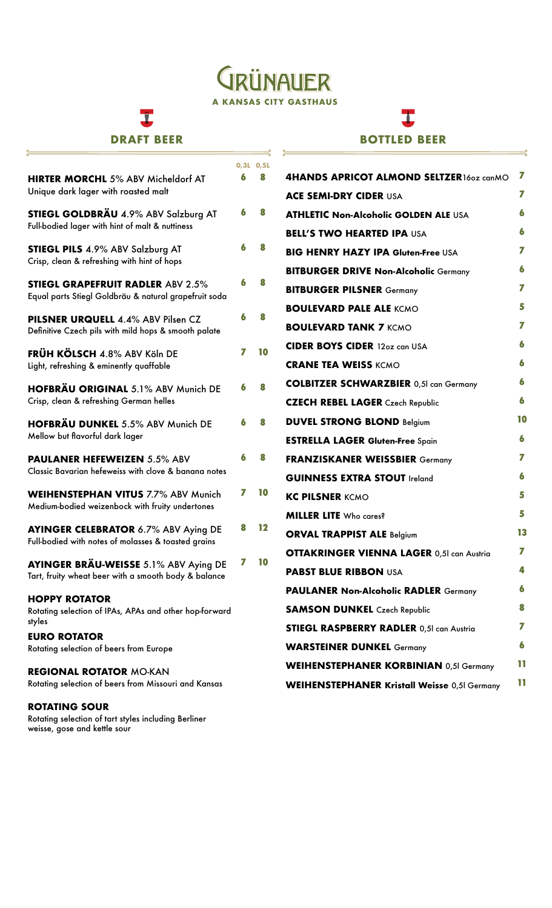## GRÜNAUER **A KANSAS CITY GASTHAUS**

 $\cong$ 

₹

# I

### **DRAFT BEER**

 $\frac{1}{\sqrt{2}}$ 

Rotating selection of tart styles including Berliner

weisse, gose and kettle sour 

## I **BOTTLED BEER**

 $\Rightarrow$ 

|                                                                                                    |   | 0,3L 0,5L |                                                     |    |
|----------------------------------------------------------------------------------------------------|---|-----------|-----------------------------------------------------|----|
| <b>HIRTER MORCHL 5% ABV Micheldorf AT</b>                                                          | 6 | 8         | 4HANDS APRICOT ALMOND SELTZER160z canMO             | 7  |
| Unique dark lager with roasted malt                                                                |   |           | <b>ACE SEMI-DRY CIDER USA</b>                       | 7  |
| STIEGL GOLDBRÄU 4.9% ABV Salzburg AT                                                               | 6 | 8         | <b>ATHLETIC Non-Alcoholic GOLDEN ALE USA</b>        | 6  |
| Full-bodied lager with hint of malt & nuttiness                                                    |   |           | <b>BELL'S TWO HEARTED IPA USA</b>                   | 6  |
| <b>STIEGL PILS 4.9% ABV Salzburg AT</b>                                                            | 6 | 8         | <b>BIG HENRY HAZY IPA Gluten-Free USA</b>           | 7  |
| Crisp, clean & refreshing with hint of hops                                                        |   |           | <b>BITBURGER DRIVE Non-Alcoholic Germany</b>        | 6  |
| <b>STIEGL GRAPEFRUIT RADLER ABV 2.5%</b>                                                           | 6 | 8         | <b>BITBURGER PILSNER Germany</b>                    | 7  |
| Equal parts Stiegl Goldbräu & natural grapefruit soda                                              |   |           | <b>BOULEVARD PALE ALE KCMO</b>                      | 5  |
| PILSNER URQUELL 4.4% ABV Pilsen CZ                                                                 | 6 | 8         | <b>BOULEVARD TANK 7 KCMO</b>                        | 7  |
| Definitive Czech pils with mild hops & smooth palate                                               |   |           | <b>CIDER BOYS CIDER 12oz can USA</b>                | 6  |
| <b>FRÜH KÖLSCH 4.8% ABV Köln DE</b><br>Light, refreshing & eminently quaffable                     | 7 | 10        | <b>CRANE TEA WEISS KCMO</b>                         | 6  |
|                                                                                                    |   |           |                                                     | 6  |
| <b>HOFBRÄU ORIGINAL 5.1% ABV Munich DE</b><br>Crisp, clean & refreshing German helles              | 6 | 8         | <b>COLBITZER SCHWARZBIER 0,51 can Germany</b>       | 6  |
|                                                                                                    |   |           | <b>CZECH REBEL LAGER</b> Czech Republic             |    |
| <b>HOFBRÄU DUNKEL 5.5% ABV Munich DE</b>                                                           | 6 | 8         | <b>DUVEL STRONG BLOND Belgium</b>                   | 10 |
| Mellow but flavorful dark lager                                                                    |   |           | <b>ESTRELLA LAGER Gluten-Free Spain</b>             | 6  |
| <b>PAULANER HEFEWEIZEN 5.5% ABV</b>                                                                | 6 | 8         | <b>FRANZISKANER WEISSBIER Germany</b>               | 7  |
| Classic Bavarian hefeweiss with clove & banana notes                                               |   |           | <b>GUINNESS EXTRA STOUT Ireland</b>                 | 6  |
| <b>WEIHENSTEPHAN VITUS 7.7% ABV Munich</b>                                                         | 7 | 10        | <b>KC PILSNER KCMO</b>                              | 5  |
| Medium-bodied weizenbock with fruity undertones                                                    |   |           | <b>MILLER LITE</b> Who cares?                       | 5  |
| <b>AYINGER CELEBRATOR 6.7% ABV Aying DE</b><br>Full-bodied with notes of molasses & toasted grains | 8 | 12        | <b>ORVAL TRAPPIST ALE Belgium</b>                   | 13 |
|                                                                                                    |   |           | <b>OTTAKRINGER VIENNA LAGER 0,51 can Austria</b>    | 7  |
| AYINGER BRÄU-WEISSE 5.1% ABV Aying DE<br>Tart, fruity wheat beer with a smooth body & balance      |   | 10        | <b>PABST BLUE RIBBON USA</b>                        | 4  |
|                                                                                                    |   |           | <b>PAULANER Non-Alcoholic RADLER Germany</b>        | 6  |
| <b>HOPPY ROTATOR</b><br>Rotating selection of IPAs, APAs and other hop-forward                     |   |           | <b>SAMSON DUNKEL</b> Czech Republic                 | 8  |
| styles                                                                                             |   |           | <b>STIEGL RASPBERRY RADLER 0,51 can Austria</b>     | 7  |
| <b>EURO ROTATOR</b>                                                                                |   |           |                                                     |    |
| Rotating selection of beers from Europe                                                            |   |           | <b>WARSTEINER DUNKEL Germany</b>                    | 6  |
| <b>REGIONAL ROTATOR MO-KAN</b>                                                                     |   |           | <b>WEIHENSTEPHANER KORBINIAN 0,5I Germany</b>       | 11 |
| Rotating selection of beers from Missouri and Kansas                                               |   |           | <b>WEIHENSTEPHANER Kristall Weisse 0,5I Germany</b> | 11 |
| <b>ROTATING SOUR</b>                                                                               |   |           |                                                     |    |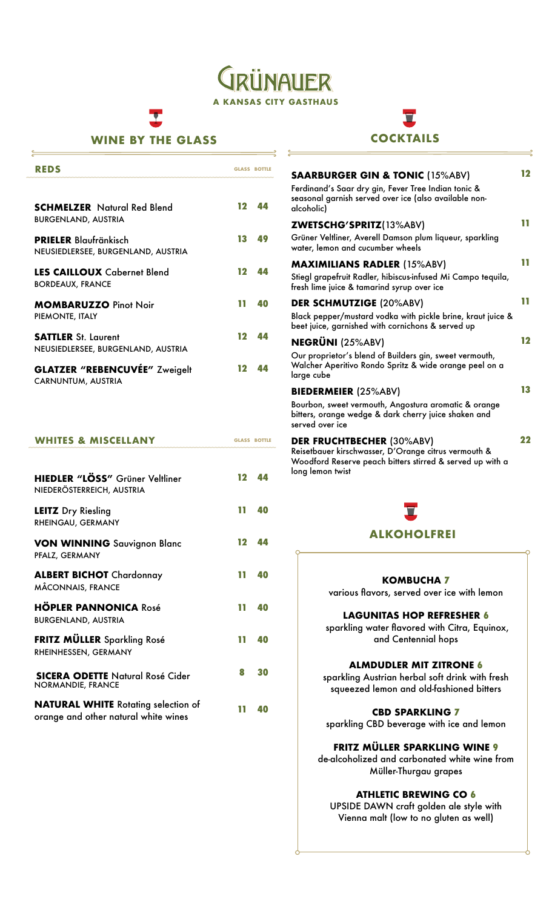VAUFR **A KANSAS CITY GASTHAUS**

#### **WINE BY THE GLASS**

| <b>REDS</b>                                                        |     | <b>GLASS BOTTLE</b> |
|--------------------------------------------------------------------|-----|---------------------|
|                                                                    |     |                     |
| <b>SCHMELZER</b> Natural Red Blend<br><b>BURGENLAND, AUSTRIA</b>   | 12  | 44                  |
| <b>PRIELER</b> Blaufränkisch<br>NEUSIEDLERSEE, BURGENLAND, AUSTRIA | 13  | 49                  |
| <b>LES CAILLOUX</b> Cabernet Blend<br><b>BORDEAUX, FRANCE</b>      | 12  | 44                  |
| <b>MOMBARUZZO Pinot Noir</b><br>PIEMONTE, ITALY                    | 11. | 40                  |
| <b>SATTLER</b> St. Laurent<br>NEUSIEDLERSEE, BURGENLAND, AUSTRIA   | 12  | 44                  |
| <b>GLATZER "REBENCUVÉE" Zweigelt</b><br>CARNUNTUM, AUSTRIA         | 12  | 44                  |

#### **GLASS BOTTLE WHITES & MISCELLANY**

| HIEDLER "LÖSS" Grüner Veltliner<br>NIEDERÖSTERREICH, AUSTRIA                       | 12 | 44 |
|------------------------------------------------------------------------------------|----|----|
| <b>LEITZ</b> Dry Riesling<br>RHEINGAU, GERMANY                                     | 11 | 40 |
| <b>VON WINNING</b> Sauvignon Blanc<br>PFALZ, GERMANY                               | 12 | 44 |
| <b>ALBERT BICHOT</b> Chardonnay<br>MÂCONNAIS, FRANCE                               | ٦T | 40 |
| <b>HÖPLER PANNONICA Rosé</b><br><b>BURGENLAND, AUSTRIA</b>                         | Ш  | 40 |
| <b>FRITZ MÜLLER</b> Sparkling Rosé<br>RHEINHESSEN, GERMANY                         | ш  | 40 |
| <b>SICERA ODETTE Natural Rosé Cider</b><br><b>NORMANDIE, FRANCE</b>                | 8  | 30 |
| <b>NATURAL WHITE</b> Rotating selection of<br>orange and other natural white wines | ш  | 40 |



| <b>SAARBURGER GIN &amp; TONIC (15%ABV)</b>                                                                                                                                | 12 |
|---------------------------------------------------------------------------------------------------------------------------------------------------------------------------|----|
| Ferdinand's Saar dry gin, Fever Tree Indian tonic &<br>seasonal garnish served over ice (also available non-<br>alcoholic)                                                |    |
| <b>ZWETSCHG'SPRITZ(13%ABV)</b>                                                                                                                                            | m  |
| Grüner Veltliner, Averell Damson plum liqueur, sparkling<br>water, lemon and cucumber wheels                                                                              |    |
| <b>MAXIMILIANS RADLER (15%ABV)</b>                                                                                                                                        | ш  |
| Stiegl grapefruit Radler, hibiscus-infused Mi Campo tequila,<br>fresh lime juice & tamarind syrup over ice                                                                |    |
| <b>DER SCHMUTZIGE (20%ABV)</b>                                                                                                                                            | ш  |
| Black pepper/mustard vodka with pickle brine, kraut juice &<br>beet juice, garnished with cornichons & served up                                                          |    |
| <b>NEGRÜNI (25%ABV)</b>                                                                                                                                                   | 12 |
| Our proprietor's blend of Builders gin, sweet vermouth,<br>Walcher Aperitivo Rondo Spritz & wide orange peel on a<br>large cube                                           |    |
| <b>BIEDERMEIER (25%ABV)</b>                                                                                                                                               | 13 |
| Bourbon, sweet vermouth, Angostura aromatic & orange<br>bitters, orange wedge & dark cherry juice shaken and<br>served over ice                                           |    |
| <b>DER FRUCHTBECHER (30%ABV)</b><br>Reisetbauer kirschwasser, D'Orange citrus vermouth &<br>Woodford Reserve peach bitters stirred & served up with a<br>long lemon twist | 22 |

# **ALKOHOLFREI**

#### **KOMBUCHA 7**

various flavors, served over ice with lemon

#### **LAGUNITAS HOP REFRESHER 6**

 sparkling water flavored with Citra, Equinox, and Centennial hops

#### **ALMDUDLER MIT ZITRONE 6**

sparkling Austrian herbal soft drink with fresh squeezed lemon and old-fashioned bitters

#### **CBD SPARKLING 7**

sparkling CBD beverage with ice and lemon

#### **FRITZ MÜLLER SPARKLING WINE 9**

de-alcoholized and carbonated white wine from Müller-Thurgau grapes

#### **ATHLETIC BREWING CO 6**

UPSIDE DAWN craft golden ale style with Vienna malt (low to no gluten as well)